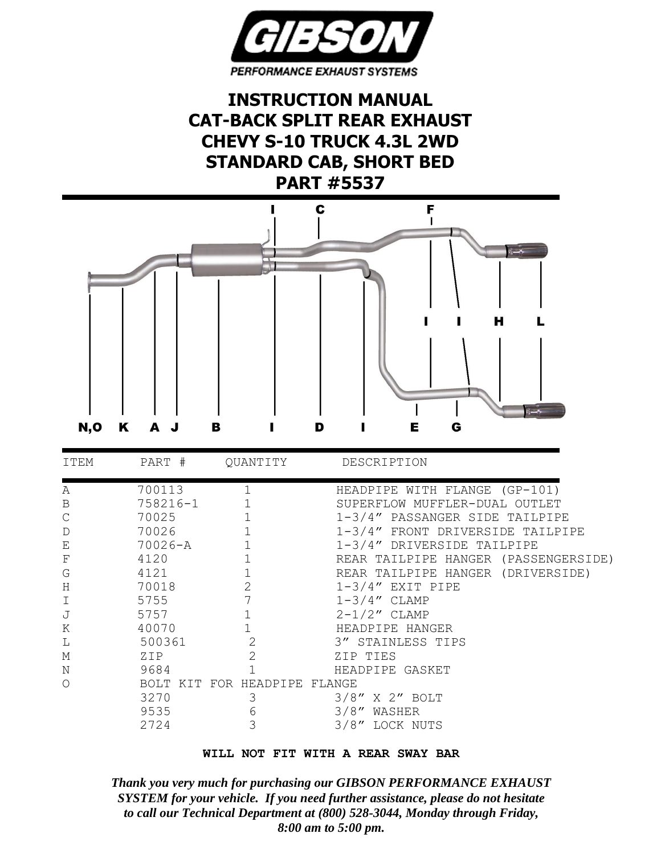

**INSTRUCTION MANUAL CAT-BACK SPLIT REAR EXHAUST CHEVY S-10 TRUCK 4.3L 2WD STANDARD CAB, SHORT BED PART #5537**



| ITEM | PART #   | OUANTITY                     | DESCRIPTION                             |  |  |  |  |
|------|----------|------------------------------|-----------------------------------------|--|--|--|--|
| Α    | 700113   |                              | HEADPIPE WITH FLANGE (GP-101)           |  |  |  |  |
| B    | 758216-1 |                              | SUPERFLOW MUFFLER-DUAL OUTLET           |  |  |  |  |
|      | 70025    |                              | $1-3/4''$ PASSANGER SIDE<br>TAILPIPE    |  |  |  |  |
| D    | 70026    |                              | 1-3/4" FRONT DRIVERSIDE<br>TAILPIPE     |  |  |  |  |
| Ε    | 70026-A  |                              | 1-3/4" DRIVERSIDE TAILPIPE              |  |  |  |  |
| F    | 4120     |                              | HANGER (PASSENGERSIDE)<br>REAR TAILPIPE |  |  |  |  |
| G    | 4121     |                              | REAR TAILPIPE HANGER (DRIVERSIDE)       |  |  |  |  |
| Η    | 70018    | 2                            | $1-3/4''$ EXIT PIPE                     |  |  |  |  |
|      | 5755     |                              | $1-3/4''$ CLAMP                         |  |  |  |  |
|      | 5757     |                              | $2-1/2"$ CLAMP                          |  |  |  |  |
| Κ    | 40070    |                              | HEADPIPE HANGER                         |  |  |  |  |
| Т.   | 500361   | $\overline{2}$               | 3" STAINLESS TIPS                       |  |  |  |  |
| М    | ZIP      | $\overline{2}$               | ZIP TIES                                |  |  |  |  |
| Ν    | 9684     |                              | HEADPIPE GASKET                         |  |  |  |  |
| ∩    |          | BOLT KIT FOR HEADPIPE FLANGE |                                         |  |  |  |  |
|      | 3270     | З                            | $3/8''$ X 2" BOLT                       |  |  |  |  |
|      | 9535     | 6                            | 3/8''<br>WASHER                         |  |  |  |  |
|      | 2724     | 3                            | 3/8" LOCK NUTS                          |  |  |  |  |

|  |  |  |  |  | WILL NOT FIT WITH A REAR SWAY BAR |  |  |
|--|--|--|--|--|-----------------------------------|--|--|
|--|--|--|--|--|-----------------------------------|--|--|

*Thank you very much for purchasing our GIBSON PERFORMANCE EXHAUST SYSTEM for your vehicle. If you need further assistance, please do not hesitate to call our Technical Department at (800) 528-3044, Monday through Friday, 8:00 am to 5:00 pm.*